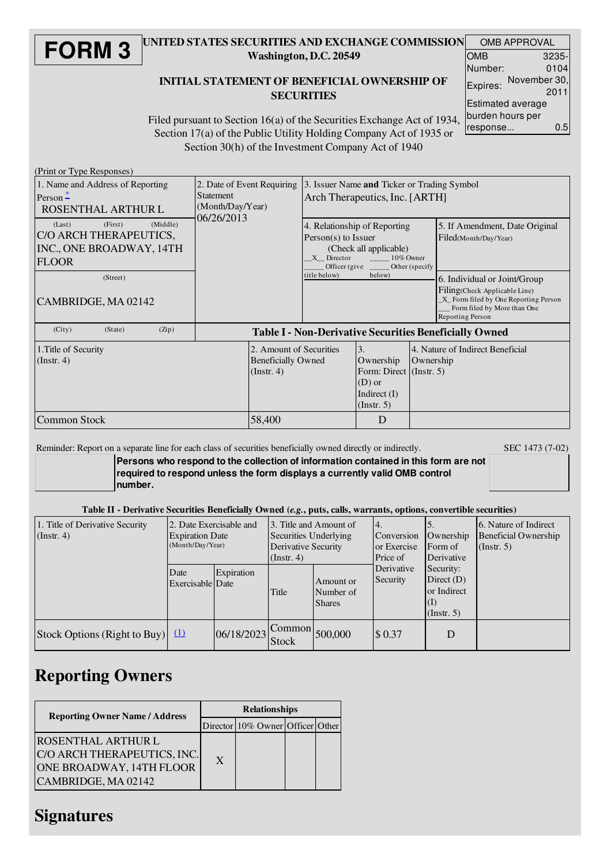#### **FORM 3** UNITED STATES SECURITIES AND EXCHANGE COMMISSION Washington, D.C. 20549 INITIAL STATEMENT OF BENEFICIAL OWNERSHIP OF OMB APPROVAL OMB Number:

# **SECURITIES**

| OMB                      | 3235-1       |  |  |  |  |  |  |
|--------------------------|--------------|--|--|--|--|--|--|
| Number:                  | 0104         |  |  |  |  |  |  |
| Expires:                 | November 30, |  |  |  |  |  |  |
|                          | 2011         |  |  |  |  |  |  |
| <b>Estimated average</b> |              |  |  |  |  |  |  |
| burden hours per         |              |  |  |  |  |  |  |
| response                 | 0.5          |  |  |  |  |  |  |

Filed pursuant to Section 16(a) of the Securities Exchange Act of 1934, Section 17(a) of the Public Utility Holding Company Act of 1935 or Section 30(h) of the Investment Company Act of 1940

(Print or Type Responses)

| $(1 \text{ nm of } 1)$ pc $\text{responents}$<br>1. Name and Address of Reporting<br>Person $\frac{1}{x}$<br>ROSENTHAL ARTHUR L<br>(Middle)<br>(First)<br>(Last) | 2. Date of Event Requiring<br>Statement<br>(Month/Day/Year)<br>06/26/2013 | 3. Issuer Name and Ticker or Trading Symbol<br>Arch Therapeutics, Inc. [ARTH]<br>4. Relationship of Reporting<br>5. If Amendment, Date Original |                                                                                         |                                               |                                                                                                                                                           |  |  |
|------------------------------------------------------------------------------------------------------------------------------------------------------------------|---------------------------------------------------------------------------|-------------------------------------------------------------------------------------------------------------------------------------------------|-----------------------------------------------------------------------------------------|-----------------------------------------------|-----------------------------------------------------------------------------------------------------------------------------------------------------------|--|--|
| C/O ARCH THERAPEUTICS,<br>INC., ONE BROADWAY, 14TH<br><b>FLOOR</b>                                                                                               |                                                                           | Person(s) to Issuer<br>(Check all applicable)<br>X Director<br>$10\%$ Owner<br>Officer (give $\frac{ }{ \text{--- }}$ Other (specify            |                                                                                         |                                               | Filed(Month/Day/Year)                                                                                                                                     |  |  |
| (Street)<br>CAMBRIDGE, MA 02142                                                                                                                                  |                                                                           | title below)                                                                                                                                    | below)                                                                                  |                                               | 6. Individual or Joint/Group<br>Filing(Check Applicable Line)<br>X_ Form filed by One Reporting Person<br>Form filed by More than One<br>Reporting Person |  |  |
| (City)<br>(Zip)<br>(State)                                                                                                                                       | <b>Table I - Non-Derivative Securities Beneficially Owned</b>             |                                                                                                                                                 |                                                                                         |                                               |                                                                                                                                                           |  |  |
| 1. Title of Security<br>$($ Instr. 4 $)$<br>$($ Instr. 4 $)$                                                                                                     |                                                                           | 2. Amount of Securities<br><b>Beneficially Owned</b>                                                                                            | 3.<br>Ownership<br>Form: Direct (Instr. 5)<br>$(D)$ or<br>Indirect $(I)$<br>(Insert. 5) | 4. Nature of Indirect Beneficial<br>Ownership |                                                                                                                                                           |  |  |
| <b>Common Stock</b>                                                                                                                                              | 58,400                                                                    |                                                                                                                                                 | D                                                                                       |                                               |                                                                                                                                                           |  |  |

Reminder: Report on a separate line for each class of securities beneficially owned directly or indirectly. SEC 1473 (7-02)

**Persons who respond to the collection of information contained in this form are not required to respond unless the form displays a currently valid OMB control number.**

Table II - Derivative Securities Beneficially Owned (*e.g.*, puts, calls, warrants, options, convertible securities)

| 1. Title of Derivative Security<br>$($ Instr. 4 $)$ | 2. Date Exercisable and<br><b>Expiration Date</b><br>(Month/Day/Year) |            | 3. Title and Amount of<br>Securities Underlying<br>Derivative Security<br>(Insert, 4) |                                         | 4.<br>Conversion<br>or Exercise<br>Price of | Ownership<br>Form of<br>Derivative                                               | 16. Nature of Indirect<br>Beneficial Ownership<br>(Insert. 5) |
|-----------------------------------------------------|-----------------------------------------------------------------------|------------|---------------------------------------------------------------------------------------|-----------------------------------------|---------------------------------------------|----------------------------------------------------------------------------------|---------------------------------------------------------------|
|                                                     | Date<br>Exercisable Date                                              | Expiration | Title                                                                                 | Amount or<br>Number of<br><b>Shares</b> | Derivative<br>Security                      | Security:<br>Direct $(D)$<br>or Indirect<br>$\left(1\right)$<br>$($ Instr. 5 $)$ |                                                               |
| Stock Options (Right to Buy) $(1)$                  |                                                                       | 06/18/2023 | <b>Stock</b>                                                                          | $\bigcap$ Common 500,000                | \$0.37                                      | D                                                                                |                                                               |

### Reporting Owners

| <b>Reporting Owner Name / Address</b>                                                                       | <b>Relationships</b> |                                  |  |  |  |  |
|-------------------------------------------------------------------------------------------------------------|----------------------|----------------------------------|--|--|--|--|
|                                                                                                             |                      | Director 10% Owner Officer Other |  |  |  |  |
| <b>ROSENTHAL ARTHUR L</b><br>C/O ARCH THERAPEUTICS, INC.<br>ONE BROADWAY, 14TH FLOOR<br>CAMBRIDGE, MA 02142 | X                    |                                  |  |  |  |  |

### **Signatures**